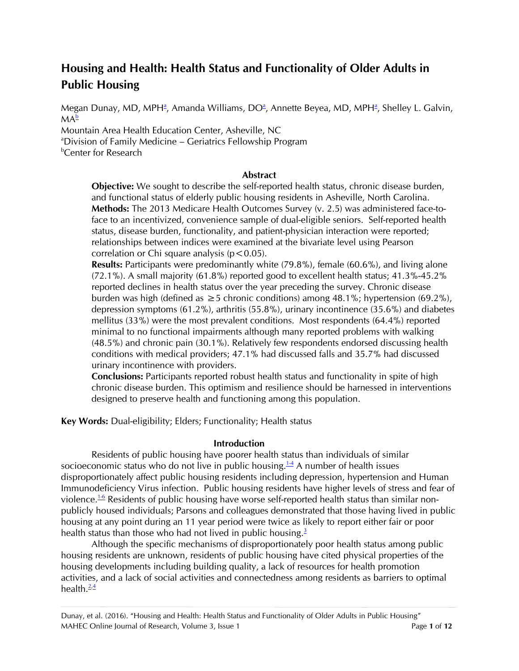# **Housing and Health: Health Status and Functionality of Older Adults in Public Housing**

Megan Dunay[,](#page-0-0) MD, MP[H](#page-0-0)<sup>a</sup>, Amanda Williams, DO<sup>a</sup>, Annette Beyea, MD, MPH<sup>a</sup>, Shelley L. Galvin,  $MA^{\underline{b}}$  $MA^{\underline{b}}$  $MA^{\underline{b}}$ 

Mountain Area Health Education Center, Asheville, NC

<span id="page-0-0"></span><sup>a</sup>Division of Family Medicine – Geriatrics Fellowship Program

<span id="page-0-1"></span>*b***Center for Research** 

## **Abstract**

**Objective:** We sought to describe the self-reported health status, chronic disease burden, and functional status of elderly public housing residents in Asheville, North Carolina. **Methods:** The 2013 Medicare Health Outcomes Survey (v. 2.5) was administered face-toface to an incentivized, convenience sample of dual-eligible seniors. Self-reported health status, disease burden, functionality, and patient-physician interaction were reported; relationships between indices were examined at the bivariate level using Pearson correlation or Chi square analysis ( $p < 0.05$ ).

**Results:** Participants were predominantly white (79.8%), female (60.6%), and living alone (72.1%). A small majority (61.8%) reported good to excellent health status; 41.3%-45.2% reported declines in health status over the year preceding the survey. Chronic disease burden was high (defined as  $\geq$  5 chronic conditions) among 48.1%; hypertension (69.2%), depression symptoms (61.2%), arthritis (55.8%), urinary incontinence (35.6%) and diabetes mellitus (33%) were the most prevalent conditions. Most respondents (64.4%) reported minimal to no functional impairments although many reported problems with walking (48.5%) and chronic pain (30.1%). Relatively few respondents endorsed discussing health conditions with medical providers; 47.1% had discussed falls and 35.7% had discussed urinary incontinence with providers.

**Conclusions:** Participants reported robust health status and functionality in spite of high chronic disease burden. This optimism and resilience should be harnessed in interventions designed to preserve health and functioning among this population.

**Key Words:** Dual-eligibility; Elders; Functionality; Health status

## **Introduction**

Residents of public housing have poorer health status than individuals of similar socioeconomic status who do not live in public housing. $14$  A number of health issues disproportionately affect public housing residents including depression, hypertension and Human Immunodeficiency Virus infection. Public housing residents have higher levels of stress and fear of violence.<sup>[1-6](#page-9-0)</sup> Residents of public housing have worse self-reported health status than similar nonpublicly housed individuals; Parsons and colleagues demonstrated that those having lived in public housing at any point during an 11 year period were twice as likely to report either fair or poor health status than those who had not lived in public housing[.](#page-9-1)<sup>3</sup>

Although the specific mechanisms of disproportionately poor health status among public housing residents are unknown, residents of public housing have cited physical properties of the housing developments including building quality, a lack of resources for health promotion activities, and a lack of social activities and connectedness among residents as barriers to optimal health. $\frac{2,4}{ }$  $\frac{2,4}{ }$  $\frac{2,4}{ }$  $\frac{2,4}{ }$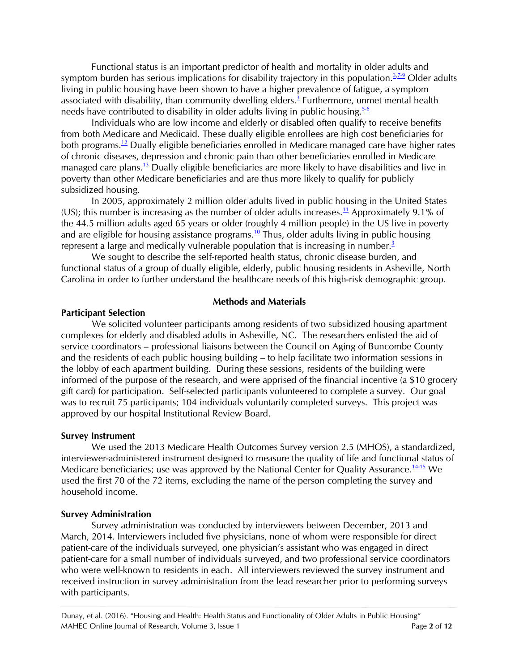Functional status is an important predictor of health and mortality in older adults and symptom burden has serious implications for disability trajectory in this population. $37-9$  $37-9$  Older adults living in public housing have been shown to have a higher prevalence of fatigue, a symptom associated with disability, than community dwelling elders.<sup>[3](#page-9-1)</sup> Furthermore, unmet mental health needs have contributed to disability in older adults living in public housing. $5-6$ 

Individuals who are low income and elderly or disabled often qualify to receive benefits from both Medicare and Medicaid. These dually eligible enrollees are high cost beneficiaries for both programs.<sup>[12](#page-10-0)</sup> Dually eligible beneficiaries enrolled in Medicare managed care have higher rates of chronic diseases, depression and chronic pain than other beneficiaries enrolled in Medicare managed care plans.<sup>[13](#page-10-1)</sup> Dually eligible beneficiaries are more likely to have disabilities and live in poverty than other Medicare beneficiaries and are thus more likely to qualify for publicly subsidized housing.

In 2005, approximately 2 million older adults lived in public housing in the United States (US); this number is increasing as the number of older adults increases.<sup>[11](#page-10-2)</sup> Approximately 9.1% of the 44.5 million adults aged 65 years or older (roughly 4 million people) in the US live in poverty and are eligible for housing assistance programs.<sup>[10](#page-9-6)</sup> Thus, older adults living in public housing represent a large and medically vulnerable population that is increasing in number. $3$ 

We sought to describe the self-reported health status, chronic disease burden, and functional status of a group of dually eligible, elderly, public housing residents in Asheville, North Carolina in order to further understand the healthcare needs of this high-risk demographic group.

#### **Methods and Materials**

#### **Participant Selection**

 We solicited volunteer participants among residents of two subsidized housing apartment complexes for elderly and disabled adults in Asheville, NC. The researchers enlisted the aid of service coordinators – professional liaisons between the Council on Aging of Buncombe County and the residents of each public housing building – to help facilitate two information sessions in the lobby of each apartment building. During these sessions, residents of the building were informed of the purpose of the research, and were apprised of the financial incentive (a \$10 grocery gift card) for participation. Self-selected participants volunteered to complete a survey. Our goal was to recruit 75 participants; 104 individuals voluntarily completed surveys. This project was approved by our hospital Institutional Review Board.

#### **Survey Instrument**

We used the 2013 Medicare Health Outcomes Survey version 2.5 (MHOS), a standardized, interviewer-administered instrument designed to measure the quality of life and functional status of Medicare beneficiaries; use was approved by the National Center for Quality Assurance.<sup>1415</sup> We used the first 70 of the 72 items, excluding the name of the person completing the survey and household income.

#### **Survey Administration**

Survey administration was conducted by interviewers between December, 2013 and March, 2014. Interviewers included five physicians, none of whom were responsible for direct patient-care of the individuals surveyed, one physician's assistant who was engaged in direct patient-care for a small number of individuals surveyed, and two professional service coordinators who were well-known to residents in each. All interviewers reviewed the survey instrument and received instruction in survey administration from the lead researcher prior to performing surveys with participants.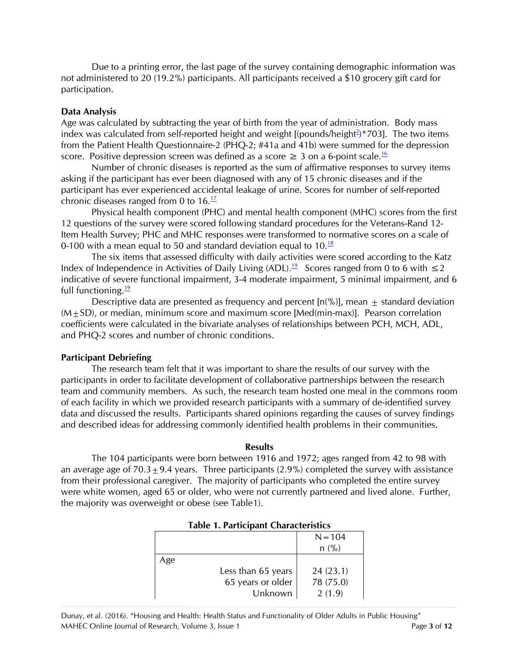Due to a printing error, the last page of the survey containing demographic information was not administered to 20 (19.2%) participants. All participants received a \$10 grocery gift card for participation.

## **Data Analysis**

Age was calculated by subtracting the year of birth from the year of administration. Body mass index was calcula[t](#page-9-2)ed from self-reported height and weight  $[$ (pounds/height $\triangle$ )\*703]. The two items from the Patient Health Questionnaire-2 (PHQ-2; #41a and 41b) were summed for the depression score. Positive depression screen was defined as a score  $\geq 3$  on a 6-point scale.<sup>[16](#page-10-4)</sup>

Number of chronic diseases is reported as the sum of affirmative responses to survey items asking if the participant has ever been diagnosed with any of 15 chronic diseases and if the participant has ever experienced accidental leakage of urine. Scores for number of self-reported chronic diseases ranged from 0 to  $16.<sup>17</sup>$  $16.<sup>17</sup>$  $16.<sup>17</sup>$ 

Physical health component (PHC) and mental health component (MHC) scores from the first 12 questions of the survey were scored following standard procedures for the Veterans-Rand 12- Item Health Survey; PHC and MHC responses were transformed to normative scores on a scale of 0-100 with a mean equal to 50 and standard deviation equal to  $10.\frac{18}{18}$  $10.\frac{18}{18}$  $10.\frac{18}{18}$ 

The six items that assessed difficulty with daily activities were scored according to the Katz Index of Independence in Activities of Daily Living (ADL).<sup>[19](#page-10-7)</sup> Scores ranged from 0 to 6 with  $\leq$  2 indicative of severe functional impairment, 3-4 moderate impairment, 5 minimal impairment, and 6 full functioning. $\frac{19}{2}$  $\frac{19}{2}$  $\frac{19}{2}$ 

Descriptive data are presented as frequency and percent [n(%)], mean  $\pm$  standard deviation  $(M+SD)$ , or median, minimum score and maximum score [Med(min-max)]. Pearson correlation coefficients were calculated in the bivariate analyses of relationships between PCH, MCH, ADL, and PHQ-2 scores and number of chronic conditions.

# **Participant Debriefing**

The research team felt that it was important to share the results of our survey with the participants in order to facilitate development of collaborative partnerships between the research team and community members. As such, the research team hosted one meal in the commons room of each facility in which we provided research participants with a summary of de-identified survey data and discussed the results. Participants shared opinions regarding the causes of survey findings and described ideas for addressing commonly identified health problems in their communities.

#### **Results**

The 104 participants were born between 1916 and 1972; ages ranged from 42 to 98 with an average age of  $70.3 + 9.4$  years. Three participants (2.9%) completed the survey with assistance from their professional caregiver. The majority of participants who completed the entire survey were white women, aged 65 or older, who were not currently partnered and lived alone. Further, the majority was overweight or obese (see Table1).

| $1401C$ $17141C1P401C$ contracted for $C_0$ |           |  |  |  |
|---------------------------------------------|-----------|--|--|--|
|                                             | $N = 104$ |  |  |  |
|                                             | $n$ (%)   |  |  |  |
|                                             |           |  |  |  |
| Less than 65 years                          | 24(23.1)  |  |  |  |
| 65 years or older                           | 78 (75.0) |  |  |  |
| Unknown                                     | 2(1.9)    |  |  |  |
|                                             |           |  |  |  |

|  |  | <b>Table 1. Participant Characteristics</b> |
|--|--|---------------------------------------------|
|--|--|---------------------------------------------|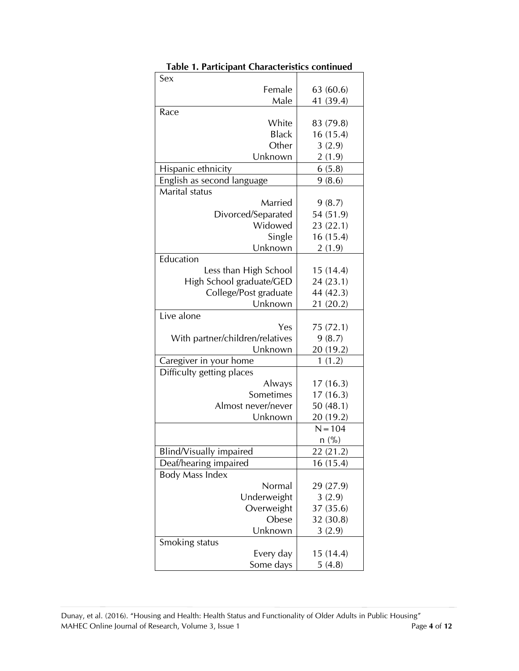| Sex                             |           |
|---------------------------------|-----------|
| Female                          | 63 (60.6) |
| Male                            | 41 (39.4) |
| Race                            |           |
| White                           | 83 (79.8) |
| <b>Black</b>                    | 16(15.4)  |
| Other                           | 3(2.9)    |
| Unknown                         | 2(1.9)    |
| Hispanic ethnicity              | 6(5.8)    |
| English as second language      | 9(8.6)    |
| Marital status                  |           |
| Married                         | 9(8.7)    |
| Divorced/Separated              | 54 (51.9) |
| Widowed                         | 23 (22.1) |
| Single                          | 16(15.4)  |
| Unknown                         | 2(1.9)    |
| Education                       |           |
| Less than High School           | 15(14.4)  |
| High School graduate/GED        | 24 (23.1) |
| College/Post graduate           | 44 (42.3) |
| Unknown                         | 21 (20.2) |
| Live alone                      |           |
| Yes                             | 75 (72.1) |
| With partner/children/relatives | 9(8.7)    |
| Unknown                         | 20 (19.2) |
| Caregiver in your home          | 1(1.2)    |
| Difficulty getting places       |           |
| Always                          | 17(16.3)  |
| Sometimes                       | 17(16.3)  |
| Almost never/never              | 50(48.1)  |
| Unknown                         | 20 (19.2) |
|                                 | $N = 104$ |
|                                 | $n$ (%)   |
| Blind/Visually impaired         | 22 (21.2) |
| Deaf/hearing impaired           | 16(15.4)  |
| Body Mass Index                 |           |
| Normal                          | 29 (27.9) |
| Underweight                     | 3(2.9)    |
| Overweight                      | 37 (35.6) |
| Obese                           | 32 (30.8) |
| Unknown                         | 3(2.9)    |
| Smoking status                  |           |
| Every day                       | 15 (14.4) |
| Some days                       | 5(4.8)    |

**Table 1. Participant Characteristics continued**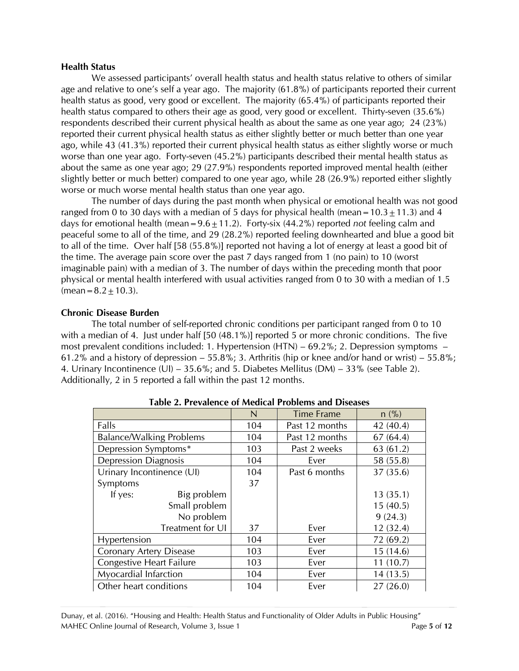#### **Health Status**

We assessed participants' overall health status and health status relative to others of similar age and relative to one's self a year ago. The majority (61.8%) of participants reported their current health status as good, very good or excellent. The majority (65.4%) of participants reported their health status compared to others their age as good, very good or excellent. Thirty-seven (35.6%) respondents described their current physical health as about the same as one year ago; 24 (23%) reported their current physical health status as either slightly better or much better than one year ago, while 43 (41.3%) reported their current physical health status as either slightly worse or much worse than one year ago. Forty-seven (45.2%) participants described their mental health status as about the same as one year ago; 29 (27.9%) respondents reported improved mental health (either slightly better or much better) compared to one year ago, while 28 (26.9%) reported either slightly worse or much worse mental health status than one year ago.

The number of days during the past month when physical or emotional health was not good ranged from 0 to 30 days with a median of 5 days for physical health (mean =  $10.3 \pm 11.3$ ) and 4 days for emotional health (mean =  $9.6 \pm 11.2$ ). Forty-six (44.2%) reported *not* feeling calm and peaceful some to all of the time, and 29 (28.2%) reported feeling downhearted and blue a good bit to all of the time. Over half [58 (55.8%)] reported not having a lot of energy at least a good bit of the time. The average pain score over the past 7 days ranged from 1 (no pain) to 10 (worst imaginable pain) with a median of 3. The number of days within the preceding month that poor physical or mental health interfered with usual activities ranged from 0 to 30 with a median of 1.5  $(mean = 8.2 \pm 10.3)$ .

## **Chronic Disease Burden**

The total number of self-reported chronic conditions per participant ranged from 0 to 10 with a median of 4. Just under half [50 (48.1%)] reported 5 or more chronic conditions. The five most prevalent conditions included: 1. Hypertension (HTN) – 69.2%; 2. Depression symptoms – 61.2% and a history of depression – 55.8%; 3. Arthritis (hip or knee and/or hand or wrist) – 55.8%; 4. Urinary Incontinence (UI) – 35.6%; and 5. Diabetes Mellitus (DM) – 33% (see Table 2). Additionally, 2 in 5 reported a fall within the past 12 months.

|                                 | $\mathsf{N}$ | <b>Time Frame</b> | $n$ (%)   |
|---------------------------------|--------------|-------------------|-----------|
| Falls                           | 104          | Past 12 months    | 42 (40.4) |
| <b>Balance/Walking Problems</b> | 104          | Past 12 months    | 67(64.4)  |
| Depression Symptoms*            | 103          | Past 2 weeks      | 63 (61.2) |
| <b>Depression Diagnosis</b>     | 104          | Ever              | 58 (55.8) |
| Urinary Incontinence (UI)       | 104          | Past 6 months     | 37 (35.6) |
| Symptoms                        | 37           |                   |           |
| If yes:<br>Big problem          |              |                   | 13(35.1)  |
| Small problem                   |              |                   | 15(40.5)  |
| No problem                      |              |                   | 9(24.3)   |
| Treatment for UI                | 37           | Ever              | 12(32.4)  |
| Hypertension                    | 104          | Ever              | 72 (69.2) |
| <b>Coronary Artery Disease</b>  | 103          | Ever              | 15(14.6)  |
| <b>Congestive Heart Failure</b> | 103          | Ever              | 11(10.7)  |
| Myocardial Infarction           | 104          | Ever              | 14(13.5)  |
| Other heart conditions          | 104          | Ever              | 27(26.0)  |

**Table 2. Prevalence of Medical Problems and Diseases**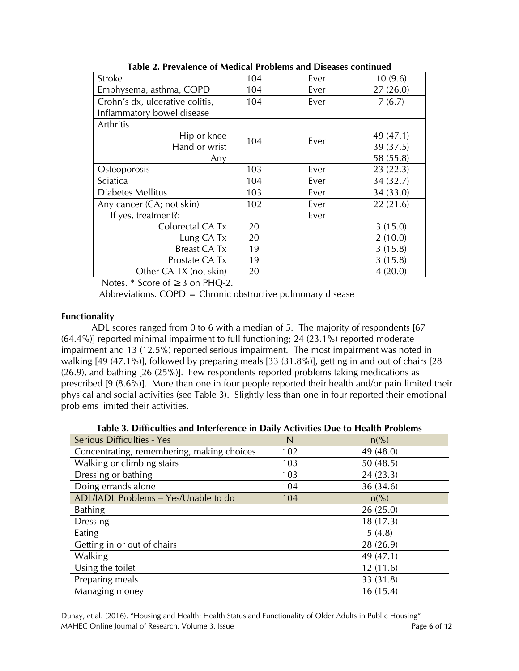| <b>Stroke</b>                   | 104 | Ever | 10(9.6)   |
|---------------------------------|-----|------|-----------|
| Emphysema, asthma, COPD         | 104 | Ever | 27(26.0)  |
| Crohn's dx, ulcerative colitis, | 104 | Ever | 7(6.7)    |
| Inflammatory bowel disease      |     |      |           |
| Arthritis                       |     |      |           |
| Hip or knee                     | 104 | Ever | 49 (47.1) |
| Hand or wrist                   |     |      | 39 (37.5) |
| Any                             |     |      | 58 (55.8) |
| Osteoporosis                    | 103 | Ever | 23(22.3)  |
| Sciatica                        | 104 | Ever | 34 (32.7) |
| Diabetes Mellitus               | 103 | Ever | 34 (33.0) |
| Any cancer (CA; not skin)       | 102 | Ever | 22(21.6)  |
| If yes, treatment?:             |     | Ever |           |
| Colorectal CA Tx                | 20  |      | 3(15.0)   |
| Lung CA Tx                      | 20  |      | 2(10.0)   |
| <b>Breast CA Tx</b>             | 19  |      | 3(15.8)   |
| Prostate CA Tx                  | 19  |      | 3(15.8)   |
| Other CA TX (not skin)          | 20  |      | 4(20.0)   |

**Table 2. Prevalence of Medical Problems and Diseases continued**

Notes. \* Score of ≥3 on PHQ-2.

Abbreviations. COPD = Chronic obstructive pulmonary disease

# **Functionality**

ADL scores ranged from 0 to 6 with a median of 5. The majority of respondents [67 (64.4%)] reported minimal impairment to full functioning; 24 (23.1%) reported moderate impairment and 13 (12.5%) reported serious impairment. The most impairment was noted in walking [49 (47.1%)], followed by preparing meals [33 (31.8%)], getting in and out of chairs [28 (26.9), and bathing [26 (25%)]. Few respondents reported problems taking medications as prescribed [9 (8.6%)]. More than one in four people reported their health and/or pain limited their physical and social activities (see Table 3). Slightly less than one in four reported their emotional problems limited their activities.

**Table 3. Difficulties and Interference in Daily Activities Due to Health Problems**

| <b>Serious Difficulties - Yes</b>          | N   | $n\binom{0}{0}$  |
|--------------------------------------------|-----|------------------|
| Concentrating, remembering, making choices | 102 | 49 (48.0)        |
| Walking or climbing stairs                 | 103 | 50(48.5)         |
| Dressing or bathing                        | 103 | 24(23.3)         |
| Doing errands alone                        | 104 | 36 (34.6)        |
| ADL/IADL Problems - Yes/Unable to do       | 104 | $n\frac{\%}{\%}$ |
| <b>Bathing</b>                             |     | 26(25.0)         |
| <b>Dressing</b>                            |     | 18(17.3)         |
| Eating                                     |     | 5(4.8)           |
| Getting in or out of chairs                |     | 28 (26.9)        |
| <b>Walking</b>                             |     | 49 (47.1)        |
| Using the toilet                           |     | 12(11.6)         |
| Preparing meals                            |     | 33 (31.8)        |
| Managing money                             |     | 16(15.4)         |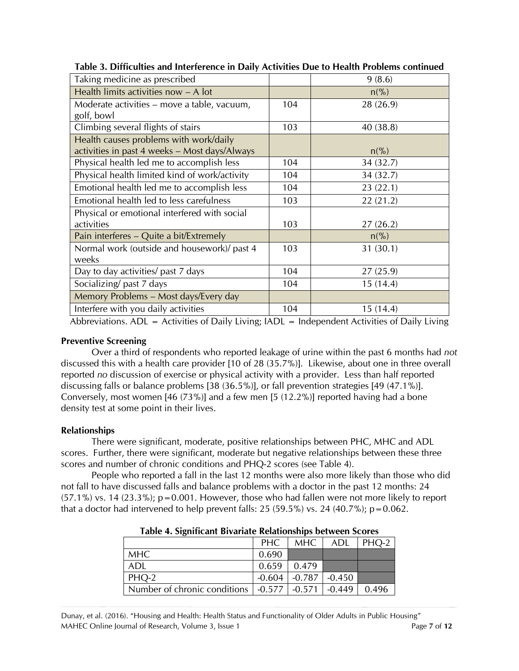| Taking medicine as prescribed                 |     | 9(8.6)           |
|-----------------------------------------------|-----|------------------|
| Health limits activities now - A lot          |     | $n\binom{0}{6}$  |
| Moderate activities – move a table, vacuum,   | 104 | 28 (26.9)        |
| golf, bowl                                    |     |                  |
| Climbing several flights of stairs            | 103 | 40 (38.8)        |
| Health causes problems with work/daily        |     |                  |
| activities in past 4 weeks - Most days/Always |     | $n\frac{\%}{\%}$ |
| Physical health led me to accomplish less     | 104 | 34 (32.7)        |
| Physical health limited kind of work/activity | 104 | 34 (32.7)        |
| Emotional health led me to accomplish less    | 104 | 23 (22.1)        |
| Emotional health led to less carefulness      | 103 | 22(21.2)         |
| Physical or emotional interfered with social  |     |                  |
| activities                                    | 103 | 27(26.2)         |
| Pain interferes – Quite a bit/Extremely       |     | $n\frac{\%}{\%}$ |
| Normal work (outside and housework)/ past 4   | 103 | 31(30.1)         |
| weeks                                         |     |                  |
| Day to day activities/ past 7 days            | 104 | 27(25.9)         |
| Socializing/past 7 days                       | 104 | 15(14.4)         |
| Memory Problems - Most days/Every day         |     |                  |
| Interfere with you daily activities           | 104 | 15(14.4)         |

**Table 3. Difficulties and Interference in Daily Activities Due to Health Problems continued**

Abbreviations. ADL = Activities of Daily Living; IADL = Independent Activities of Daily Living

## **Preventive Screening**

Over a third of respondents who reported leakage of urine within the past 6 months had *not* discussed this with a health care provider [10 of 28 (35.7%)]. Likewise, about one in three overall reported *no* discussion of exercise or physical activity with a provider. Less than half reported discussing falls or balance problems [38 (36.5%)], or fall prevention strategies [49 (47.1%)]. Conversely, most women [46 (73%)] and a few men [5 (12.2%)] reported having had a bone density test at some point in their lives.

# **Relationships**

There were significant, moderate, positive relationships between PHC, MHC and ADL scores. Further, there were significant, moderate but negative relationships between these three scores and number of chronic conditions and PHQ-2 scores (see Table 4).

People who reported a fall in the last 12 months were also more likely than those who did not fall to have discussed falls and balance problems with a doctor in the past 12 months: 24  $(57.1\%)$  vs. 14  $(23.3\%)$ ; p=0.001. However, those who had fallen were not more likely to report that a doctor had intervened to help prevent falls: 25 (59.5%) vs. 24 (40.7%);  $p=0.062$ .

| Table 4. Digitalcant Divariate Relationships between beores |       |                            |     |       |  |  |
|-------------------------------------------------------------|-------|----------------------------|-----|-------|--|--|
|                                                             | PHC   | MHC                        | ADL | PHO-2 |  |  |
| <b>MHC</b>                                                  | 0.690 |                            |     |       |  |  |
| ADL                                                         | 0.659 | 0.479                      |     |       |  |  |
| PHQ-2                                                       |       | $-0.604$ $-0.787$ $-0.450$ |     |       |  |  |
| Number of chronic conditions   -0.577   -0.571   -0.449     |       |                            |     | 0.496 |  |  |

| Table 4. Significant Bivariate Relationships between Scores |  |  |  |  |  |  |
|-------------------------------------------------------------|--|--|--|--|--|--|
|-------------------------------------------------------------|--|--|--|--|--|--|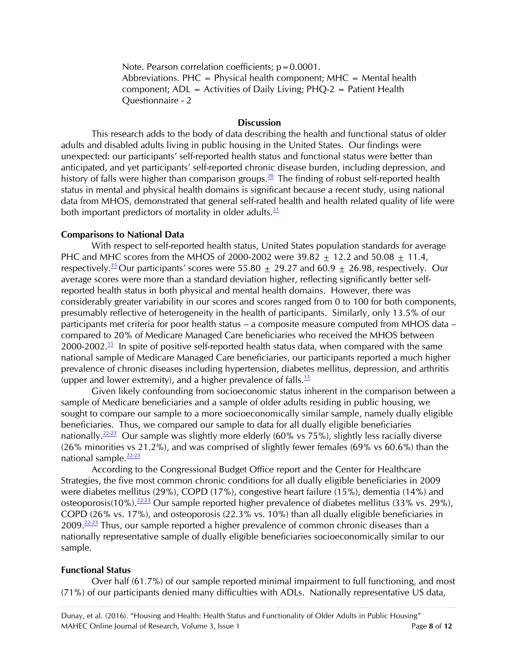Note. Pearson correlation coefficients;  $p = 0.0001$ . Abbreviations. PHC = Physical health component; MHC = Mental health component; ADL = Activities of Daily Living; PHQ-2 = Patient Health Questionnaire - 2

#### **Discussion**

This research adds to the body of data describing the health and functional status of older adults and disabled adults living in public housing in the United States. Our findings were unexpected: our participants' self-reported health status and functional status were better than anticipated, and yet participants' self-reported chronic disease burden, including depression, and history of falls were higher than comparison groups.<sup>[20](#page-10-8)</sup> The finding of robust self-reported health status in mental and physical health domains is significant because a recent study, using national data from MHOS, demonstrated that general self-rated health and health related quality of life were both important predictors of mortality in older adults. $\frac{21}{2}$  $\frac{21}{2}$  $\frac{21}{2}$ 

#### **Comparisons to National Data**

With respect to self-reported health status, United States population standards for average PHC and MHC scores from the MHOS of 2000-2002 were  $39.82 + 12.2$  and  $50.08 + 11.4$ , respectively.<sup>[15](#page-10-10)</sup> Our participants' scores were 55.80  $\pm$  29.27 and 60.9  $\pm$  26.98, respectively. Our average scores were more than a standard deviation higher, reflecting significantly better selfreported health status in both physical and mental health domains. However, there was considerably greater variability in our scores and scores ranged from 0 to 100 for both components, presumably reflective of heterogeneity in the health of participants. Similarly, only 13.5% of our participants met criteria for poor health status – a composite measure computed from MHOS data – compared to 20% of Medicare Managed Care beneficiaries who received the MHOS between 2000-2002.<sup>[15](#page-10-10)</sup> In spite of positive self-reported health status data, when compared with the same national sample of Medicare Managed Care beneficiaries, our participants reported a much higher prevalence of chronic diseases including hypertension, diabetes mellitus, depression, and arthritis (upper and lower extremity), and a higher prevalence of falls. $\frac{15}{12}$  $\frac{15}{12}$  $\frac{15}{12}$ 

Given likely confounding from socioeconomic status inherent in the comparison between a sample of Medicare beneficiaries and a sample of older adults residing in public housing, we sought to compare our sample to a more socioeconomically similar sample, namely dually eligible beneficiaries. Thus, we compared our sample to data for all dually eligible beneficiaries nationally.<sup>[22-23](#page-10-11)</sup> Our sample was slightly more elderly (60% vs 75%), slightly less racially diverse (26% minorities vs 21.2%), and was comprised of slightly fewer females (69% vs 60.6%) than the national sample.<sup>[22-23](#page-10-11)</sup>

According to the Congressional Budget Office report and the Center for Healthcare Strategies, the five most common chronic conditions for all dually eligible beneficiaries in 2009 were diabetes mellitus (29%), COPD (17%), congestive heart failure (15%), dementia (14%) and osteoporosis(10%).<sup>[22-23](#page-10-11)</sup> Our sample reported higher prevalence of diabetes mellitus (33% vs. 29%), COPD (26% vs. 17%), and osteoporosis (22.3% vs. 10%) than all dually eligible beneficiaries in 2009. $\frac{22-23}{2}$  $\frac{22-23}{2}$  $\frac{22-23}{2}$  Thus, our sample reported a higher prevalence of common chronic diseases than a nationally representative sample of dually eligible beneficiaries socioeconomically similar to our sample.

#### **Functional Status**

Over half (61.7%) of our sample reported minimal impairment to full functioning, and most (71%) of our participants denied many difficulties with ADLs. Nationally representative US data,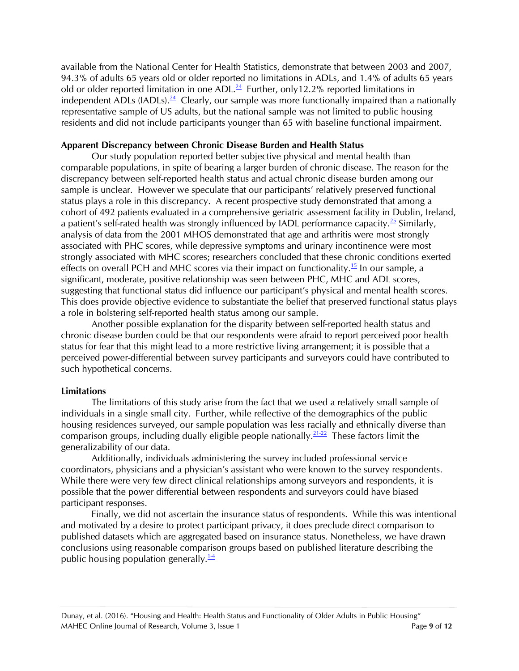available from the National Center for Health Statistics, demonstrate that between 2003 and 2007, 94.3% of adults 65 years old or older reported no limitations in ADLs, and 1.4% of adults 65 years old or older reported limitation in one ADL $^{24}$  $^{24}$  $^{24}$  Further, only 12.2% reported limitations in independent ADLs (IADLs).  $^{24}$  $^{24}$  $^{24}$  Clearly, our sample was more functionally impaired than a nationally representative sample of US adults, but the national sample was not limited to public housing residents and did not include participants younger than 65 with baseline functional impairment.

## **Apparent Discrepancy between Chronic Disease Burden and Health Status**

Our study population reported better subjective physical and mental health than comparable populations, in spite of bearing a larger burden of chronic disease. The reason for the discrepancy between self-reported health status and actual chronic disease burden among our sample is unclear. However we speculate that our participants' relatively preserved functional status plays a role in this discrepancy. A recent prospective study demonstrated that among a cohort of 492 patients evaluated in a comprehensive geriatric assessment facility in Dublin, Ireland, a patient's self-rated health was strongly influenced by IADL performance capacity.<sup>[25](#page-11-0)</sup> Similarly, analysis of data from the 2001 MHOS demonstrated that age and arthritis were most strongly associated with PHC scores, while depressive symptoms and urinary incontinence were most strongly associated with MHC scores; researchers concluded that these chronic conditions exerted effects on overall PCH and MHC scores via their impact on functionality.<sup>[15](#page-10-10)</sup> In our sample, a significant, moderate, positive relationship was seen between PHC, MHC and ADL scores, suggesting that functional status did influence our participant's physical and mental health scores. This does provide objective evidence to substantiate the belief that preserved functional status plays a role in bolstering self-reported health status among our sample.

Another possible explanation for the disparity between self-reported health status and chronic disease burden could be that our respondents were afraid to report perceived poor health status for fear that this might lead to a more restrictive living arrangement; it is possible that a perceived power-differential between survey participants and surveyors could have contributed to such hypothetical concerns.

## **Limitations**

The limitations of this study arise from the fact that we used a relatively small sample of individuals in a single small city. Further, while reflective of the demographics of the public housing residences surveyed, our sample population was less racially and ethnically diverse than comparison groups, including dually eligible people nationally.<sup>[21-22](#page-10-9)</sup> These factors limit the generalizability of our data.

Additionally, individuals administering the survey included professional service coordinators, physicians and a physician's assistant who were known to the survey respondents. While there were very few direct clinical relationships among surveyors and respondents, it is possible that the power differential between respondents and surveyors could have biased participant responses.

Finally, we did not ascertain the insurance status of respondents. While this was intentional and motivated by a desire to protect participant privacy, it does preclude direct comparison to published datasets which are aggregated based on insurance status. Nonetheless, we have drawn conclusions using reasonable comparison groups based on published literature describing the public housing population generally.<sup>14</sup>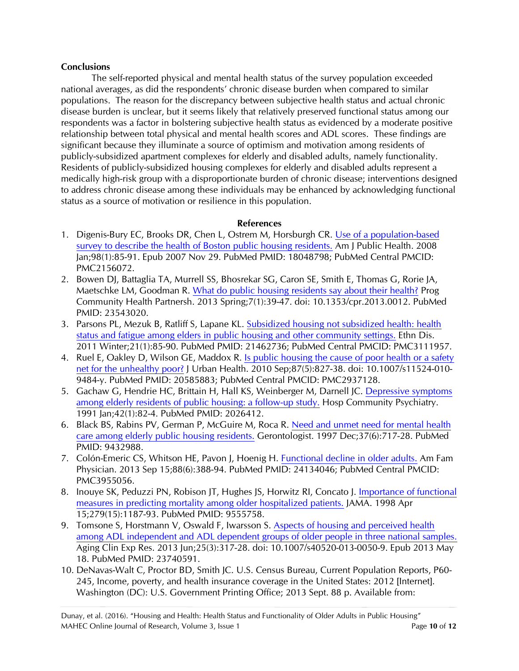## **Conclusions**

The self-reported physical and mental health status of the survey population exceeded national averages, as did the respondents' chronic disease burden when compared to similar populations. The reason for the discrepancy between subjective health status and actual chronic disease burden is unclear, but it seems likely that relatively preserved functional status among our respondents was a factor in bolstering subjective health status as evidenced by a moderate positive relationship between total physical and mental health scores and ADL scores. These findings are significant because they illuminate a source of optimism and motivation among residents of publicly-subsidized apartment complexes for elderly and disabled adults, namely functionality. Residents of publicly-subsidized housing complexes for elderly and disabled adults represent a medically high-risk group with a disproportionate burden of chronic disease; interventions designed to address chronic disease among these individuals may be enhanced by acknowledging functional status as a source of motivation or resilience in this population.

## **References**

- <span id="page-9-0"></span>1. Digenis-Bury EC, Brooks DR, Chen L, Ostrem M, Horsburgh CR. [Use of a population-based](http://www.ncbi.nlm.nih.gov/pubmed/18048798)  [survey to describe the health of Boston public housing residents.](http://www.ncbi.nlm.nih.gov/pubmed/18048798) Am J Public Health. 2008 Jan;98(1):85-91. Epub 2007 Nov 29. PubMed PMID: 18048798; PubMed Central PMCID: PMC2156072.
- <span id="page-9-2"></span>2. Bowen DJ, Battaglia TA, Murrell SS, Bhosrekar SG, Caron SE, Smith E, Thomas G, Rorie JA, Maetschke LM, Goodman R. [What do public housing residents say about their health?](http://www.ncbi.nlm.nih.gov/pubmed/23543020) Prog Community Health Partnersh. 2013 Spring;7(1):39-47. doi: 10.1353/cpr.2013.0012. PubMed PMID: 23543020.
- <span id="page-9-1"></span>3. Parsons PL, Mezuk B, Ratliff S, Lapane KL. [Subsidized housing not subsidized health: health](http://www.ncbi.nlm.nih.gov/pubmed/21462736)  status and [fatigue among elders in public housing and other community settings.](http://www.ncbi.nlm.nih.gov/pubmed/21462736) Ethn Dis. 2011 Winter;21(1):85-90. PubMed PMID: 21462736; PubMed Central PMCID: PMC3111957.
- <span id="page-9-3"></span>4. Ruel E, Oakley D, Wilson GE, Maddox R. [Is public housing the cause of poor health or a safety](http://www.ncbi.nlm.nih.gov/pubmed/20585883)  [net for the unhealthy poor?](http://www.ncbi.nlm.nih.gov/pubmed/20585883) J Urban Health. 2010 Sep;87(5):827-38. doi: 10.1007/s11524-010- 9484-y. PubMed PMID: 20585883; PubMed Central PMCID: PMC2937128.
- <span id="page-9-5"></span>5. Gachaw G, Hendrie HC, Brittain H, Hall KS, Weinberger M, Darnell JC. Depressive symptoms [among elderly residents of public housing: a follow-up study.](http://www.ncbi.nlm.nih.gov/pubmed/2026412) Hosp Community Psychiatry. 1991 Jan;42(1):82-4. PubMed PMID: 2026412.
- 6. Black BS, Rabins PV, German P, McGuire M, Roca R. [Need and unmet need for mental health](http://www.ncbi.nlm.nih.gov/pubmed/9432988)  [care among elderly public housing residents.](http://www.ncbi.nlm.nih.gov/pubmed/9432988) Gerontologist. 1997 Dec;37(6):717-28. PubMed PMID: 9432988.
- <span id="page-9-4"></span>7. Colón-Emeric CS, Whitson HE, Pavon J, Hoenig H. [Functional decline in older adults.](http://www.ncbi.nlm.nih.gov/pubmed/24134046) Am Fam Physician. 2013 Sep 15;88(6):388-94. PubMed PMID: 24134046; PubMed Central PMCID: PMC3955056.
- 8. Inouye SK, Peduzzi PN, Robison JT, Hughes JS, Horwitz RI, Concato J. [Importance of functional](http://www.ncbi.nlm.nih.gov/pubmed/9555758)  [measures in predicting mortality among older hospitalized patients.](http://www.ncbi.nlm.nih.gov/pubmed/9555758) JAMA. 1998 Apr 15;279(15):1187-93. PubMed PMID: 9555758.
- 9. Tomsone S, Horstmann V, Oswald F, Iwarsson S. [Aspects of housing and perceived health](http://www.ncbi.nlm.nih.gov/pubmed/23740591)  [among ADL independent and ADL dependent groups of older people in three national samples.](http://www.ncbi.nlm.nih.gov/pubmed/23740591) Aging Clin Exp Res. 2013 Jun;25(3):317-28. doi: 10.1007/s40520-013-0050-9. Epub 2013 May 18. PubMed PMID: 23740591.
- <span id="page-9-6"></span>10. DeNavas-Walt C, Proctor BD, Smith JC. U.S. Census Bureau, Current Population Reports, P60- 245, Income, poverty, and health insurance coverage in the United States: 2012 [Internet]. Washington (DC): U.S. Government Printing Office; 2013 Sept. 88 p. Available from: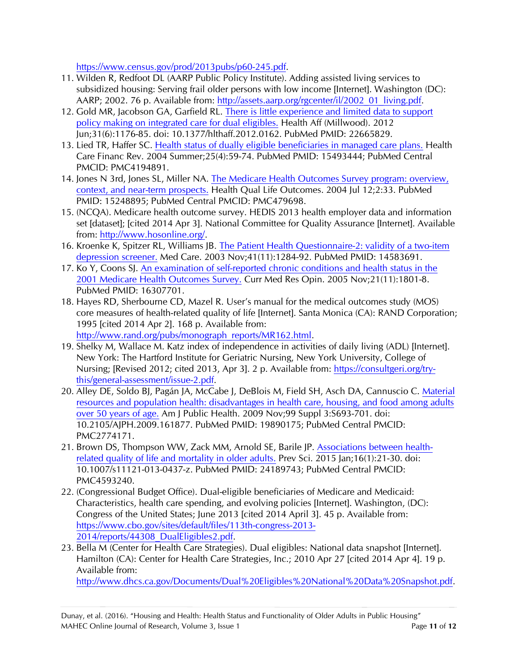[https://www.census.gov/prod/2013pubs/p60-245.pdf.](https://www.census.gov/prod/2013pubs/p60-245.pdf)

- <span id="page-10-2"></span>11. Wilden R, Redfoot DL (AARP Public Policy Institute). Adding assisted living services to subsidized housing: Serving frail older persons with low income [Internet]. Washington (DC): AARP; 2002. 76 p. Available from: [http://assets.aarp.org/rgcenter/il/2002\\_01\\_living.pdf.](http://assets.aarp.org/rgcenter/il/2002_01_living.pdf)
- <span id="page-10-0"></span>12. Gold MR, Jacobson GA, Garfield RL. [There is little experience and limited data to support](http://www.ncbi.nlm.nih.gov/pubmed/22665829)  [policy making on integrated care for dual eligibles.](http://www.ncbi.nlm.nih.gov/pubmed/22665829) Health Aff (Millwood). 2012 Jun;31(6):1176-85. doi: 10.1377/hlthaff.2012.0162. PubMed PMID: 22665829.
- <span id="page-10-1"></span>13. Lied TR, Haffer SC. [Health status of dually eligible beneficiaries in managed care plans.](http://www.ncbi.nlm.nih.gov/pubmed/15493444) Health Care Financ Rev. 2004 Summer;25(4):59-74. PubMed PMID: 15493444; PubMed Central PMCID: PMC4194891.
- <span id="page-10-3"></span>14. Jones N 3rd, Jones SL, Miller NA. [The Medicare Health Outcomes Survey program: overview,](http://www.ncbi.nlm.nih.gov/pubmed/15248895)  [context, and near-term prospects.](http://www.ncbi.nlm.nih.gov/pubmed/15248895) Health Qual Life Outcomes. 2004 Jul 12;2:33. PubMed PMID: 15248895; PubMed Central PMCID: PMC479698.
- <span id="page-10-10"></span>15. (NCQA). Medicare health outcome survey. HEDIS 2013 health employer data and information set [dataset]; [cited 2014 Apr 3]. National Committee for Quality Assurance [Internet]. Available from: [http://www.hosonline.org/.](http://www.hosonline.org/)
- <span id="page-10-4"></span>16. Kroenke K, Spitzer RL, Williams JB. [The Patient Health Questionnaire-2: validity of a two-item](http://www.ncbi.nlm.nih.gov/pubmed/14583691)  [depression screener.](http://www.ncbi.nlm.nih.gov/pubmed/14583691) Med Care. 2003 Nov;41(11):1284-92. PubMed PMID: 14583691.
- <span id="page-10-5"></span>17. Ko Y, Coons SJ. [An examination of self-reported chronic conditions and health](http://www.ncbi.nlm.nih.gov/pubmed/16307701) status in the [2001 Medicare Health Outcomes Survey.](http://www.ncbi.nlm.nih.gov/pubmed/16307701) Curr Med Res Opin. 2005 Nov;21(11):1801-8. PubMed PMID: 16307701.
- <span id="page-10-6"></span>18. Hayes RD, Sherbourne CD, Mazel R. User's manual for the medical outcomes study (MOS) core measures of health-related quality of life [Internet]. Santa Monica (CA): RAND Corporation; 1995 [cited 2014 Apr 2]. 168 p. Available from: [http://www.rand.org/pubs/monograph\\_reports/MR162.html.](http://www.rand.org/pubs/monograph_reports/MR162.html)

<span id="page-10-7"></span>19. Shelky M, Wallace M. Katz index of independence in activities of daily living (ADL) [Internet]. New York: The Hartford Institute for Geriatric Nursing, New York University, College of Nursing; [Revised 2012; cited 2013, Apr 3]. 2 p. Available from: [https://consultgeri.org/try](https://consultgeri.org/try-this/general-assessment/issue-2.pdf)[this/general-assessment/issue-2.pdf.](https://consultgeri.org/try-this/general-assessment/issue-2.pdf)

- <span id="page-10-8"></span>20. Alley DE, Soldo BJ, Pagán JA, McCabe J, DeBlois M, Field SH, Asch DA, Cannuscio C. [Material](http://www.ncbi.nlm.nih.gov/pubmed/19890175)  [resources and population health: disadvantages in health care, housing, and food among adults](http://www.ncbi.nlm.nih.gov/pubmed/19890175)  [over 50 years of age.](http://www.ncbi.nlm.nih.gov/pubmed/19890175) Am J Public Health. 2009 Nov;99 Suppl 3:S693-701. doi: 10.2105/AJPH.2009.161877. PubMed PMID: 19890175; PubMed Central PMCID: PMC2774171.
- <span id="page-10-9"></span>21. Brown DS, Thompson WW, Zack MM, Arnold SE, Barile JP. [Associations between health](http://www.ncbi.nlm.nih.gov/pubmed/24189743)[related quality of life and mortality in older adults.](http://www.ncbi.nlm.nih.gov/pubmed/24189743) Prev Sci. 2015 Jan;16(1):21-30. doi: 10.1007/s11121-013-0437-z. PubMed PMID: 24189743; PubMed Central PMCID: PMC4593240.
- <span id="page-10-11"></span>22. (Congressional Budget Office). Dual-eligible beneficiaries of Medicare and Medicaid: Characteristics, health care spending, and evolving policies [Internet]. Washington, (DC): Congress of the United States; June 2013 [cited 2014 April 3]. 45 p. Available from: [https://www.cbo.gov/sites/default/files/113th-congress-2013-](https://www.cbo.gov/sites/default/files/113th-congress-2013-2014/reports/44308_DualEligibles2.pdf) [2014/reports/44308\\_DualEligibles2.pdf.](https://www.cbo.gov/sites/default/files/113th-congress-2013-2014/reports/44308_DualEligibles2.pdf)
- 23. Bella M (Center for Health Care Strategies). Dual eligibles: National data snapshot [Internet]. Hamilton (CA): Center for Health Care Strategies, Inc.; 2010 Apr 27 [cited 2014 Apr 4]. 19 p. Available from:

<span id="page-10-12"></span>[http://www.dhcs.ca.gov/Documents/Dual%20Eligibles%20National%20Data%20Snapshot.pdf.](http://www.dhcs.ca.gov/Documents/Dual%20Eligibles%20National%20Data%20Snapshot.pdf)